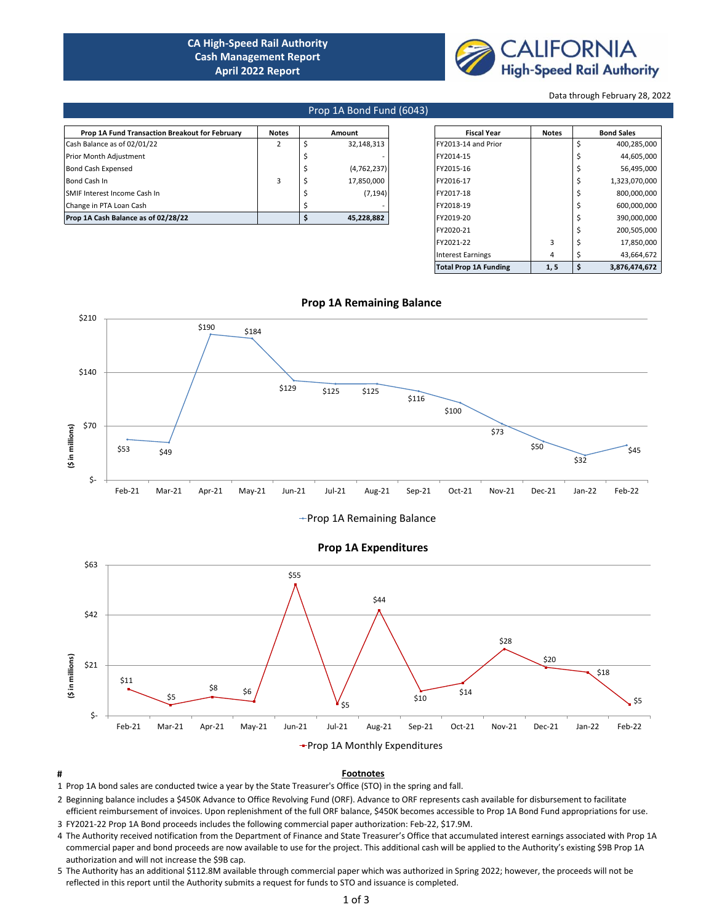# **CA High-Speed Rail Authority Cash Management Report April 2022 Report**



Data through February 28, 2022

#### Prop 1A Bond Fund (6043)

| Prop 1A Fund Transaction Breakout for February | <b>Notes</b> | Amount |             |  | <b>Fiscal Year</b>  |  | <b>Bond Sales</b> |               |
|------------------------------------------------|--------------|--------|-------------|--|---------------------|--|-------------------|---------------|
| Cash Balance as of 02/01/22                    |              |        | 32,148,313  |  | FY2013-14 and Prior |  |                   | 400,285,000   |
| Prior Month Adjustment                         |              |        |             |  | FY2014-15           |  |                   | 44,605,000    |
| <b>Bond Cash Expensed</b>                      |              |        | (4,762,237) |  | FY2015-16           |  |                   | 56,495,000    |
| Bond Cash In                                   |              |        | 17.850.000  |  | FY2016-17           |  |                   | 1,323,070,000 |
| <b>SMIF Interest Income Cash In</b>            |              |        | (7, 194)    |  | FY2017-18           |  |                   | 800,000,000   |
| Change in PTA Loan Cash                        |              |        |             |  | FY2018-19           |  |                   | 600,000,000   |
| Prop 1A Cash Balance as of 02/28/22            |              |        | 45,228,882  |  | FY2019-20           |  |                   | 390,000,000   |

| <b>Fiscal Year</b>           | <b>Notes</b> | <b>Bond Sales</b> |               |  |  |
|------------------------------|--------------|-------------------|---------------|--|--|
| FY2013-14 and Prior          |              | \$                | 400,285,000   |  |  |
| FY2014-15                    |              | Ś                 | 44,605,000    |  |  |
| FY2015-16                    |              | Ś                 | 56,495,000    |  |  |
| FY2016-17                    |              | Ś                 | 1,323,070,000 |  |  |
| FY2017-18                    |              | Ś                 | 800,000,000   |  |  |
| FY2018-19                    |              | Ś                 | 600,000,000   |  |  |
| FY2019-20                    |              | \$                | 390,000,000   |  |  |
| FY2020-21                    |              | Ś                 | 200,505,000   |  |  |
| FY2021-22                    | 3            | \$                | 17,850,000    |  |  |
| <b>Interest Earnings</b>     | 4            | \$                | 43.664.672    |  |  |
| <b>Total Prop 1A Funding</b> | 1, 5         | \$                | 3.876.474.672 |  |  |



# +Prop 1A Remaining Balance



### **# Footnotes**

1 Prop 1A bond sales are conducted twice a year by the State Treasurer's Office (STO) in the spring and fall.

2 Beginning balance includes a \$450K Advance to Office Revolving Fund (ORF). Advance to ORF represents cash available for disbursement to facilitate efficient reimbursement of invoices. Upon replenishment of the full ORF balance, \$450K becomes accessible to Prop 1A Bond Fund appropriations for use.

3 FY2021-22 Prop 1A Bond proceeds includes the following commercial paper authorization: Feb-22, \$17.9M.

4 The Authority received notification from the Department of Finance and State Treasurer's Office that accumulated interest earnings associated with Prop 1A commercial paper and bond proceeds are now available to use for the project. This additional cash will be applied to the Authority's existing \$9B Prop 1A authorization and will not increase the \$9B cap.

5 The Authority has an additional \$112.8M available through commercial paper which was authorized in Spring 2022; however, the proceeds will not be reflected in this report until the Authority submits a request for funds to STO and issuance is completed.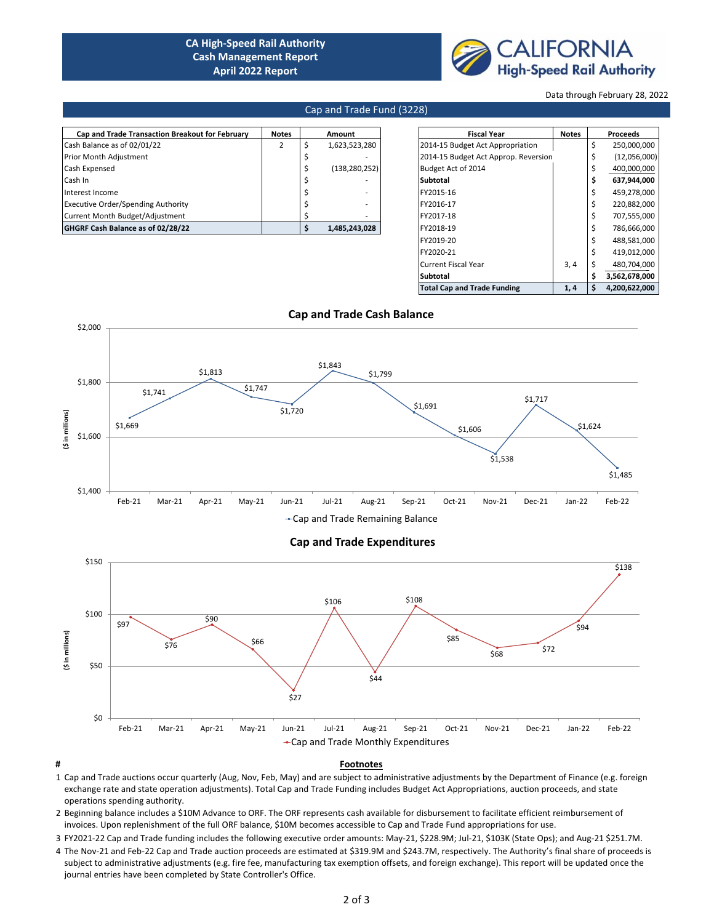# **CA High-Speed Rail Authority Cash Management Report April 2022 Report**



Data through February 28, 2022

#### Cap and Trade Fund (3228)

| <b>Notes</b> | Amount        | <b>Fiscal Year</b>               | <b>Notes</b> |                                      | Proceeds     |
|--------------|---------------|----------------------------------|--------------|--------------------------------------|--------------|
|              | 1,623,523,280 | 2014-15 Budget Act Appropriation |              |                                      | 250,000,000  |
|              |               |                                  |              |                                      | (12,056,000) |
|              |               | Budget Act of 2014               |              |                                      | 400,000,000  |
|              |               | Subtotal                         |              |                                      | 637,944,000  |
|              |               | FY2015-16                        |              |                                      | 459,278,000  |
|              |               | FY2016-17                        |              |                                      | 220,882,000  |
|              |               | FY2017-18                        |              |                                      | 707,555,000  |
|              | 1,485,243,028 | FY2018-19                        |              |                                      | 786,666,000  |
|              |               | (138, 280, 252)                  |              | 2014-15 Budget Act Approp. Reversion |              |

| <b>Fiscal Year</b>                   | <b>Notes</b> |    | <b>Proceeds</b> |  |  |
|--------------------------------------|--------------|----|-----------------|--|--|
| 2014-15 Budget Act Appropriation     |              | \$ | 250,000,000     |  |  |
| 2014-15 Budget Act Approp. Reversion |              | \$ | (12,056,000)    |  |  |
| Budget Act of 2014                   |              | \$ | 400,000,000     |  |  |
| Subtotal                             |              | \$ | 637,944,000     |  |  |
| FY2015-16                            |              | \$ | 459,278,000     |  |  |
| FY2016-17                            |              | Ś  | 220,882,000     |  |  |
| FY2017-18                            |              | Ś  | 707,555,000     |  |  |
| FY2018-19                            |              | \$ | 786,666,000     |  |  |
| FY2019-20                            |              | \$ | 488,581,000     |  |  |
| FY2020-21                            |              | Ś  | 419,012,000     |  |  |
| <b>Current Fiscal Year</b>           | 3,4          | \$ | 480,704,000     |  |  |
| Subtotal                             |              | Ś  | 3,562,678,000   |  |  |
| <b>Total Cap and Trade Funding</b>   | 1,4          | \$ | 4.200.622.000   |  |  |



-Cap and Trade Remaining Balance

#### **Cap and Trade Expenditures**



#### **# Footnotes**

- 1 Cap and Trade auctions occur quarterly (Aug, Nov, Feb, May) and are subject to administrative adjustments by the Department of Finance (e.g. foreign exchange rate and state operation adjustments). Total Cap and Trade Funding includes Budget Act Appropriations, auction proceeds, and state operations spending authority.
- 2 Beginning balance includes a \$10M Advance to ORF. The ORF represents cash available for disbursement to facilitate efficient reimbursement of invoices. Upon replenishment of the full ORF balance, \$10M becomes accessible to Cap and Trade Fund appropriations for use.
- 3 FY2021-22 Cap and Trade funding includes the following executive order amounts: May-21, \$228.9M; Jul-21, \$103K (State Ops); and Aug-21 \$251.7M.
- 4 The Nov-21 and Feb-22 Cap and Trade auction proceeds are estimated at \$319.9M and \$243.7M, respectively. The Authority's final share of proceeds is subject to administrative adjustments (e.g. fire fee, manufacturing tax exemption offsets, and foreign exchange). This report will be updated once the journal entries have been completed by State Controller's Office.